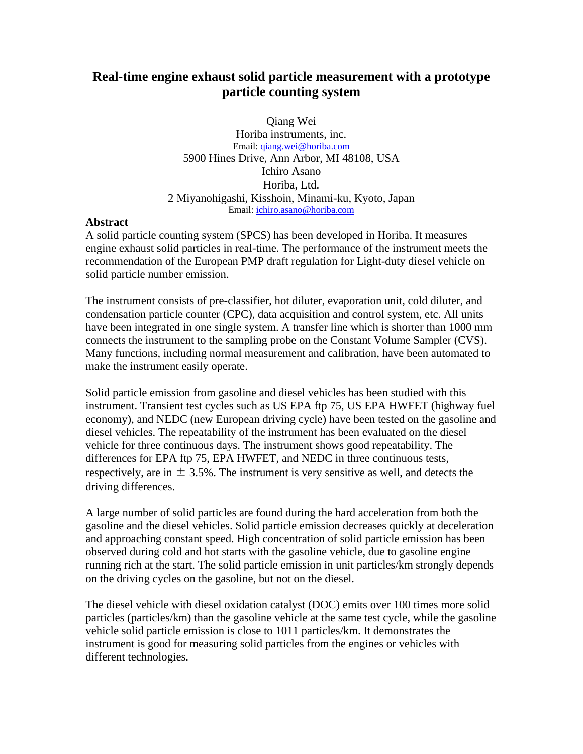#### **Real-time engine exhaust solid particle measurement with a prototype particle counting system**

Qiang Wei Horiba instruments, inc. Email: [qiang.wei@horiba.com](mailto:qiang.wei@horiba.com) 5900 Hines Drive, Ann Arbor, MI 48108, USA Ichiro Asano Horiba, Ltd. 2 Miyanohigashi, Kisshoin, Minami-ku, Kyoto, Japan Email: [ichiro.asano@horiba.com](mailto:ichiro.asano@horiba.com)

#### **Abstract**

A solid particle counting system (SPCS) has been developed in Horiba. It measures engine exhaust solid particles in real-time. The performance of the instrument meets the recommendation of the European PMP draft regulation for Light-duty diesel vehicle on solid particle number emission.

The instrument consists of pre-classifier, hot diluter, evaporation unit, cold diluter, and condensation particle counter (CPC), data acquisition and control system, etc. All units have been integrated in one single system. A transfer line which is shorter than 1000 mm connects the instrument to the sampling probe on the Constant Volume Sampler (CVS). Many functions, including normal measurement and calibration, have been automated to make the instrument easily operate.

Solid particle emission from gasoline and diesel vehicles has been studied with this instrument. Transient test cycles such as US EPA ftp 75, US EPA HWFET (highway fuel economy), and NEDC (new European driving cycle) have been tested on the gasoline and diesel vehicles. The repeatability of the instrument has been evaluated on the diesel vehicle for three continuous days. The instrument shows good repeatability. The differences for EPA ftp 75, EPA HWFET, and NEDC in three continuous tests, respectively, are in  $\pm$  3.5%. The instrument is very sensitive as well, and detects the driving differences.

A large number of solid particles are found during the hard acceleration from both the gasoline and the diesel vehicles. Solid particle emission decreases quickly at deceleration and approaching constant speed. High concentration of solid particle emission has been observed during cold and hot starts with the gasoline vehicle, due to gasoline engine running rich at the start. The solid particle emission in unit particles/km strongly depends on the driving cycles on the gasoline, but not on the diesel.

The diesel vehicle with diesel oxidation catalyst (DOC) emits over 100 times more solid particles (particles/km) than the gasoline vehicle at the same test cycle, while the gasoline vehicle solid particle emission is close to 1011 particles/km. It demonstrates the instrument is good for measuring solid particles from the engines or vehicles with different technologies.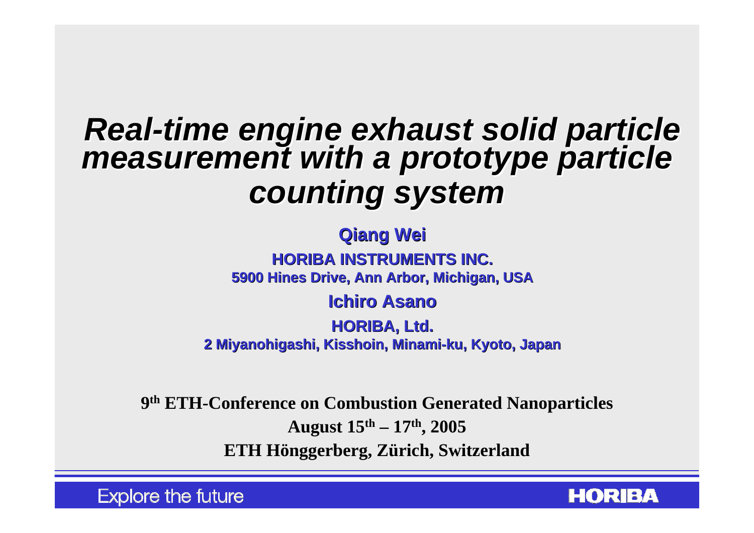# *Real-time engine exhaust solid particle time engine exhaust solid particle measurement with a prototype particle measurement with a prototype particle counting system counting system*

**Qiang We Qiang Wei HORIBA INSTRUMENTS INC. 5900 Hines Drive, Ann Arbor, Michigan, USA 5900 Hines Drive, Ann Arbor, USA**

**Ichiro Asano Ichiro Asano**

**HORIBA, Ltd. HORIBA, Ltd. 2 Miyanohigashi, Kisshoin, Minami 2 Miyanohigashi, Kisshoin, Minami-ku, Kyoto, Japan ku, Kyoto, Japan**

**9th ETH-Conference on Combustion Generated Nanoparticles August 15th – 17th, 2005 ETH Hönggerberg, Zürich, Switzerland**

**HORIBA**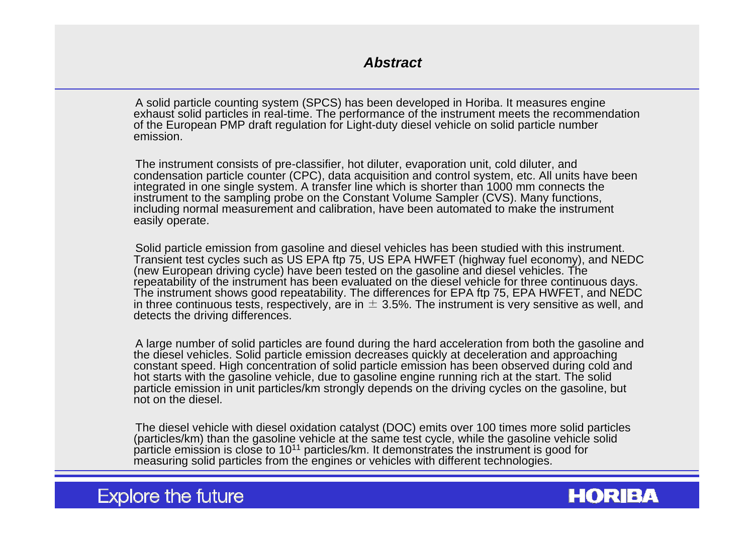A solid particle counting system (SPCS) has been developed in Horiba. It measures engine<br>exhaust solid particles in real-time. The performance of the instrument meets the recommendation<br>of the European PMP draft regulation

The instrument consists of pre-classifier, hot diluter, evaporation unit, cold diluter, and condensation particle counter (CPC), data acquisition and control system, etc. All units have been integrated in one single system. A transfer line which is shorter than 1000 mm connects the instrument to the sampling probe on the Constant Volume Sampler (CVS). Many functions, including normal measurement and calibration, have been automated to make the instrument easily operate.

Solid particle emission from gasoline and diesel vehicles has been studied with this instrument.<br>Transient test cycles such as US EPA ftp 75, US EPA HWFET (highway fuel economy), and NEDC<br>(new European driving cycle) have in three continuous tests, respectively, are in  $\pm$  3.5%. The instrument is very sensitive as well, and detects the driving differences.

A large number of solid particles are found during the hard acceleration from both the gasoline and the diesel vehicles. Solid particle emission decreases quickly at deceleration and approaching constant speed. High concentration of solid particle emission has been observed during cold and<br>hot starts with the gasoline vehicle, due to gasoline engine running rich at the start. The solid<br>particle emission in unit pa not on the diesel.

The diesel vehicle with diesel oxidation catalyst (DOC) emits over 100 times more solid particles (particles/km) than the gasoline vehicle at the same test cycle, while the gasoline vehicle solid particle emission is close to  $10^{11}$  particles/km. It demonstrates the instrument is good for measuring solid particles f

#### **Explore the future**

#### **HORIBA**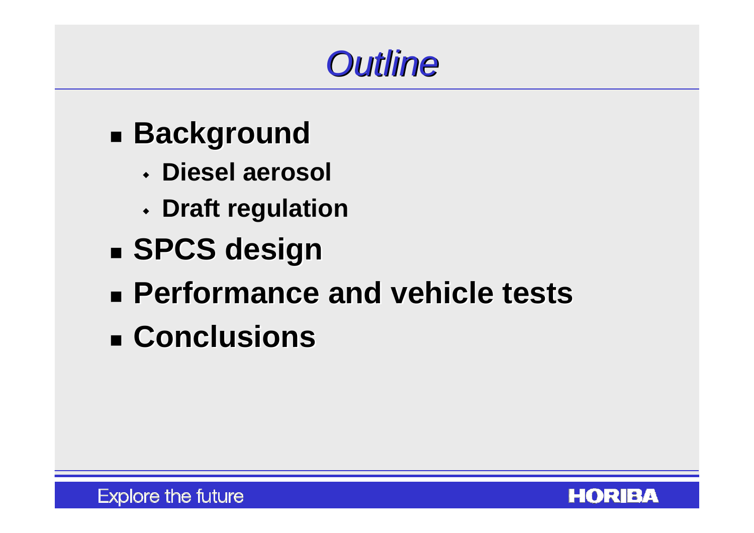

#### **Background Background**

- **Diesel aerosol**
- ♦ **Draft regulation**
- **SPCS design SPCS design**
- **Performance and vehicle tests Performance and vehicle tests**
- **Conclusions Conclusions**

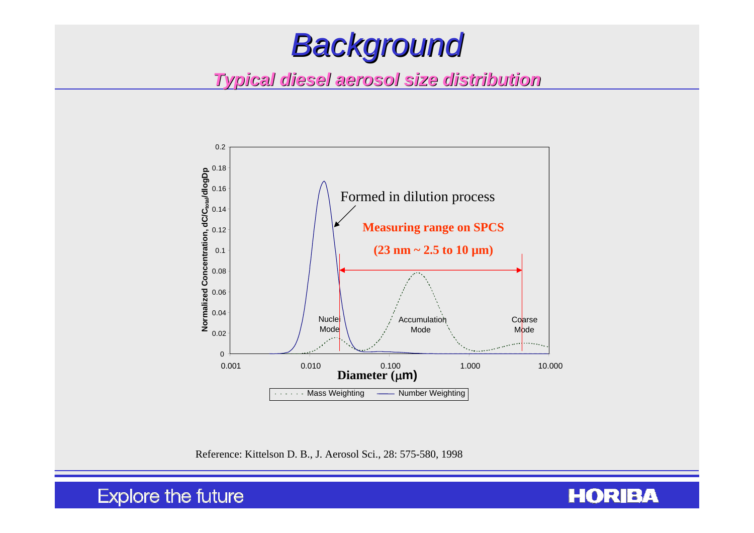

*Typical diesel aerosol Typical diesel aerosol size distribution size distribution*



Reference: Kittelson D. B., J. Aeros ol Sci., 28: 575-580, 1998

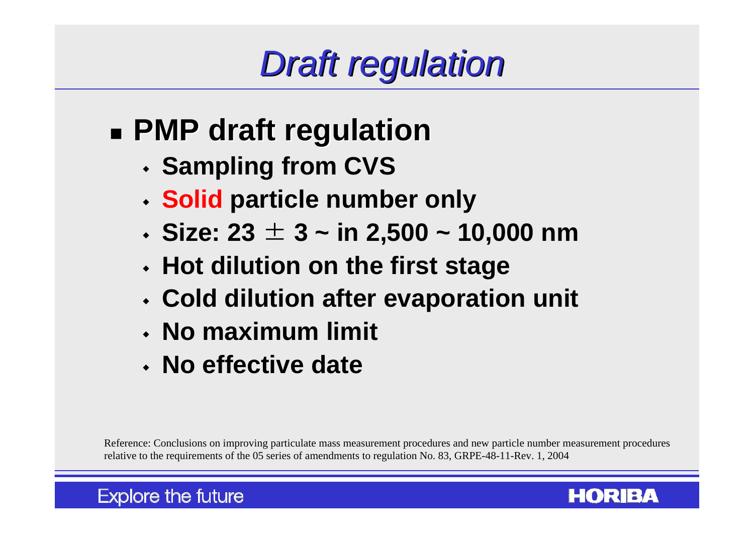*Draft regulation Draft regulation*

#### **PMP draft regulation PMP draft regulation**

- ♦ **Sampling from CVS**
- **Solid particle number only**
- **Size: 23**  ± **3 ~ in 2,500 ~ 10,000 nm**
- ♦ **Hot dilution on the first stage**
- ◆ **Cold dilution after evaporation unit**
- **No maximum limit**
- **No effective date**

Reference: Conclusions on improving particulate mass measurement procedures and new particle number measurement procedures relative to the requirements of the 05 series of a mendments to regulation No. 83, GRPE-48-11-Rev. 1, 2004

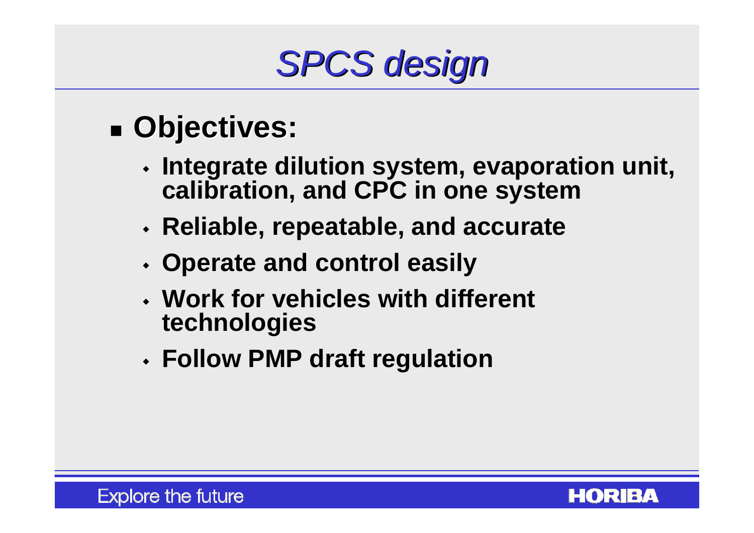*SPCS design SPCS design*

#### **Objectives: Objectives:**

- ♦ **Integrate dilution system, evaporation unit, calibration, and CPC in one system**
- ◆ **Reliable, repeatable, and accurate**
- ♦ **Operate and control easily**
- **Work for vehicles with different technologies**
- ♦ **Follow PMP draft regulation**

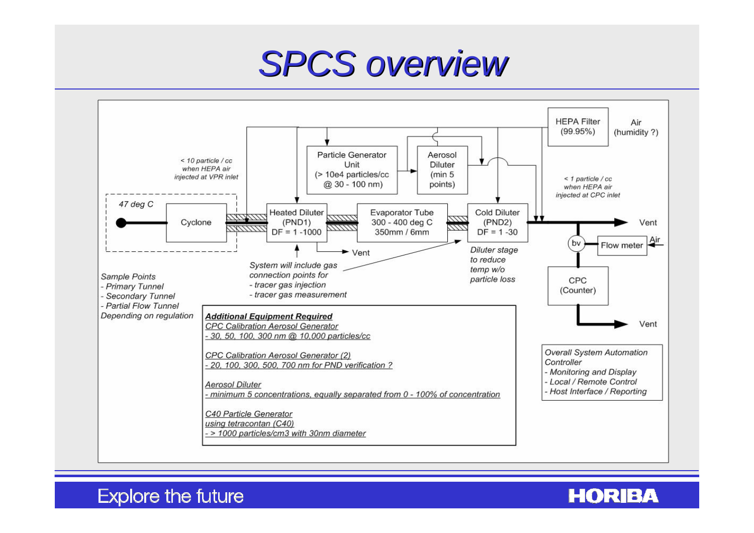### *SPCS overview SPCS overview*



#### **HORIBA**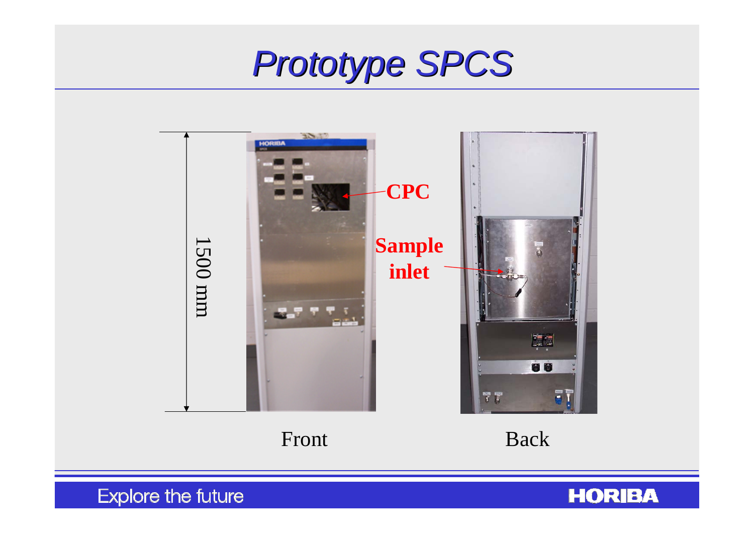*Prototype SPCS Prototype SPCS*



Front

Back

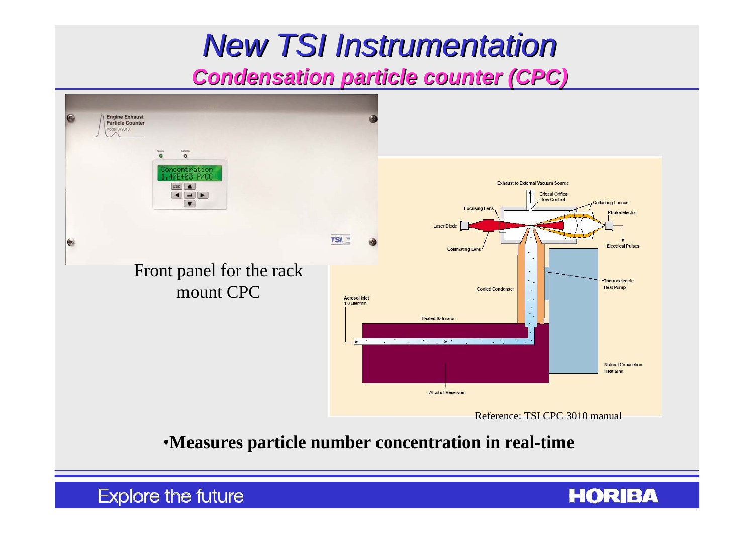### *New TSI Instrumentation New TSI Instrumentation Condensation particle counter (CPC) Condensation particle counter (CPC)*



•**Measures particle number concentration in real-time**

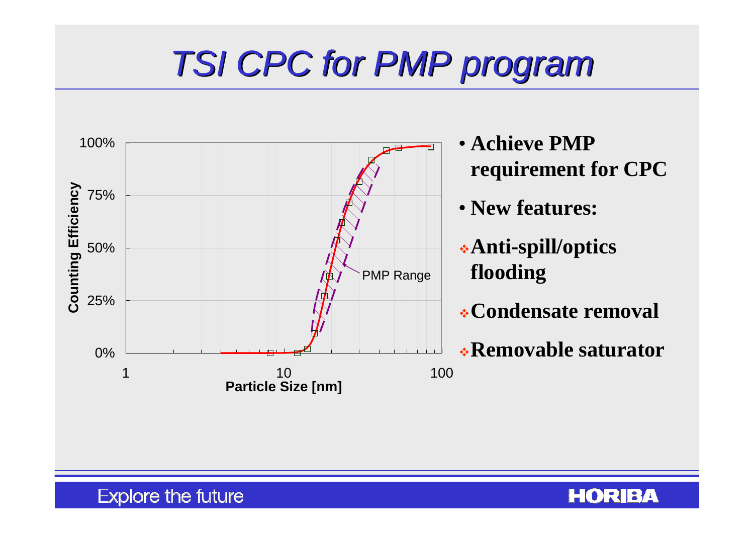## *TSI CPC for PMP program TSI CPC for PMP program*



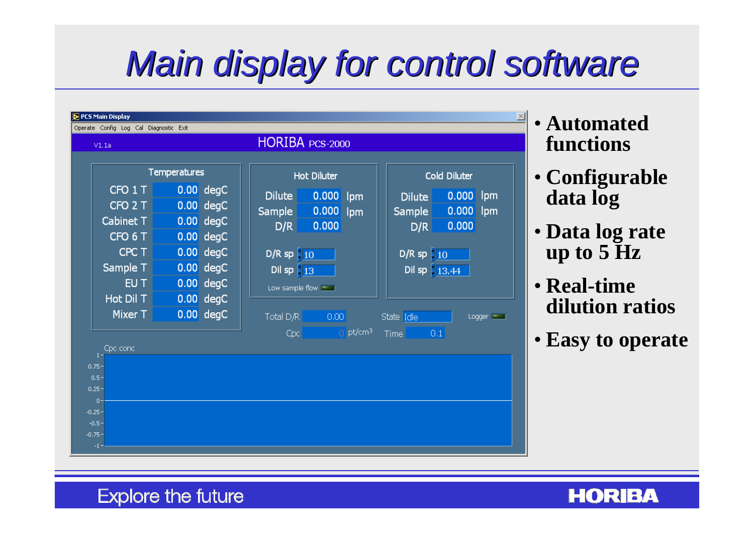## *Main display for control software Main display for control software*



- **Automated functions**
- **Configurable data log**
- **Data log rate up to 5 Hz**
- **Real-time dilution ratios**
- **Easy to operate**

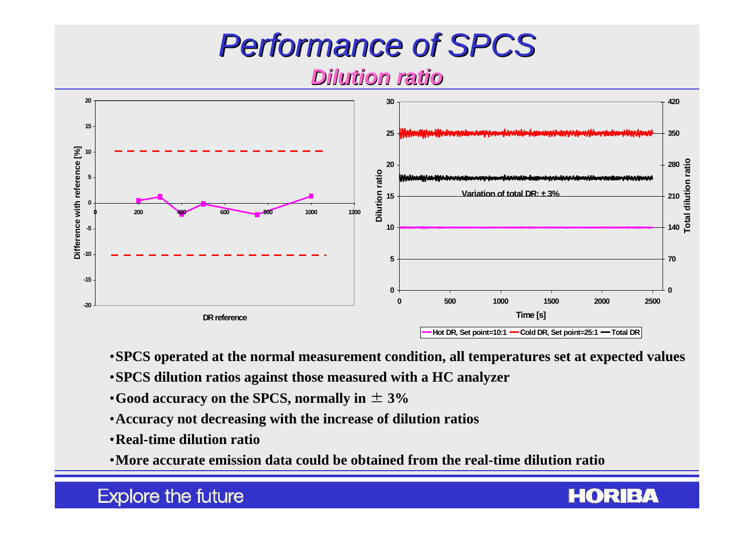### *Performance of SPCS Performance of SPCS*

*Dilution ratio Dilution ratio* 



•**SPCS operated at the normal measurement condition, all temperatures set at expected values**

- •**SPCS dilution ratios against those measured with a HC analyzer**
- •**Good accuracy on the SPCS, n ormally in**  ± **3%**
- •**Accuracy n ot decreasing with the increase of dilution ratios**
- •**Real-time dilution ratio**
- •**More accurate emission data could be obtained from the real-time dilution ratio**

#### **Explore the future**

#### **HORIBA**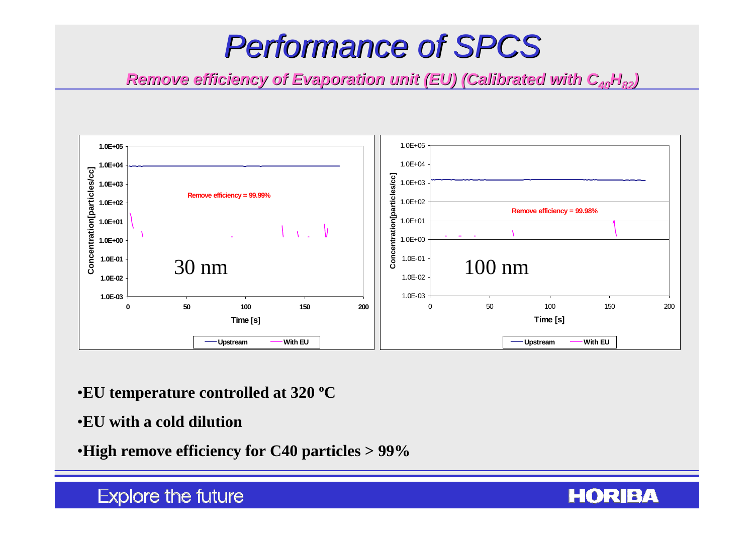### *Performance of SPCS Performance of SPCS*

*Remove efficiency of Evaporation unit (EU) (Calibrated with C Remove efficiency of Evaporation unit (EU) (Calibrated with C40H82)*



- •**EU temperature controlled at 320 ºC**
- •**EU with a cold dilution**
- •**High remove efficiency for C40 particles > 99%**

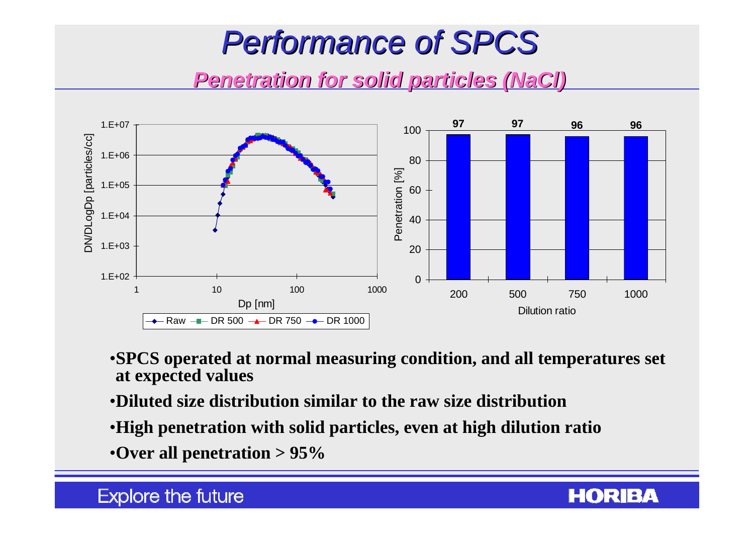### *Performance of SPCS Performance of SPCS*

*Penetration for solid particles (NaCl) Penetration for solid particles (NaCl)*



•**SPCS operated at normal measu ring condition, and all temperatures set at expected values**

**HORIBA** 

- •**Diluted size distribution similar to the raw size distribution**
- •**High penetration with solid particles, even at high dilution ratio**
- •**Over all penetration > 95%**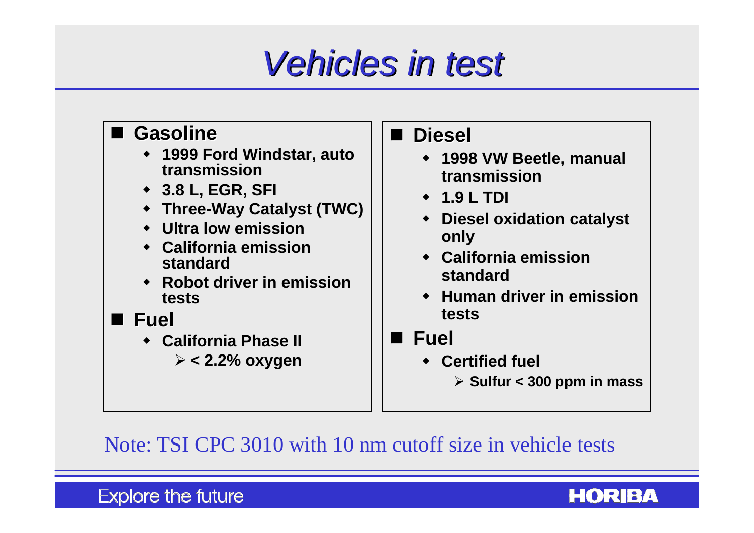## *Vehicles in test Vehicles in test*

#### a ka **Gasoline Gasoline**

- **1999 Ford Windstar, auto transmission**
- **3.8 L, EGR, SFI**
- **Three-Way Catalyst (TWC)**
- **Ultra low emission**
- **California emission standard**
- **Robot driver in emission tests**

### **Fuel**

 **California Phase II** ¾ **< 2.2% oxygen**

#### **Diesel**

- **1998 VW Beetle, manual transmission**
- **1.9 L TDI**
- **Diesel oxidation catalyst only**
- **California emission standard**
- **Human driver in emission tests**

### **Fuel**

- **Certified fuel**
	- ¾ **Sulfur < 300 ppm in mass**

### Note: TSI CPC 3010 with 10 nm cutoff size in vehicle tests

#### **Explore the future**

#### **HORIBA**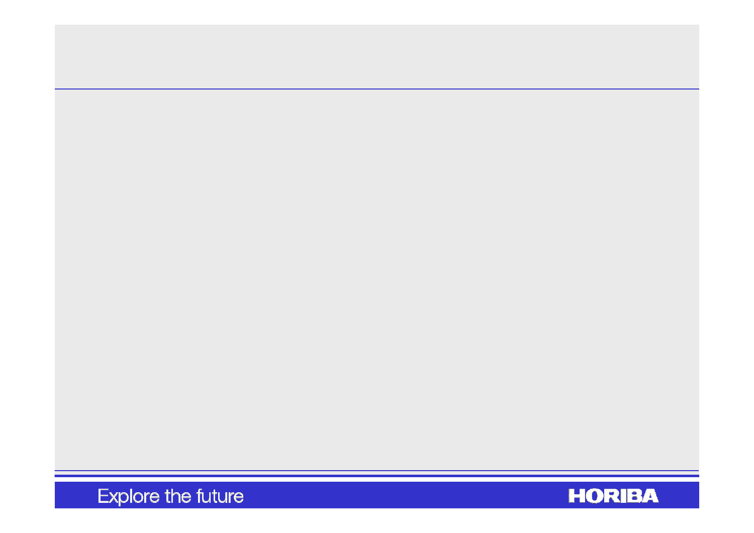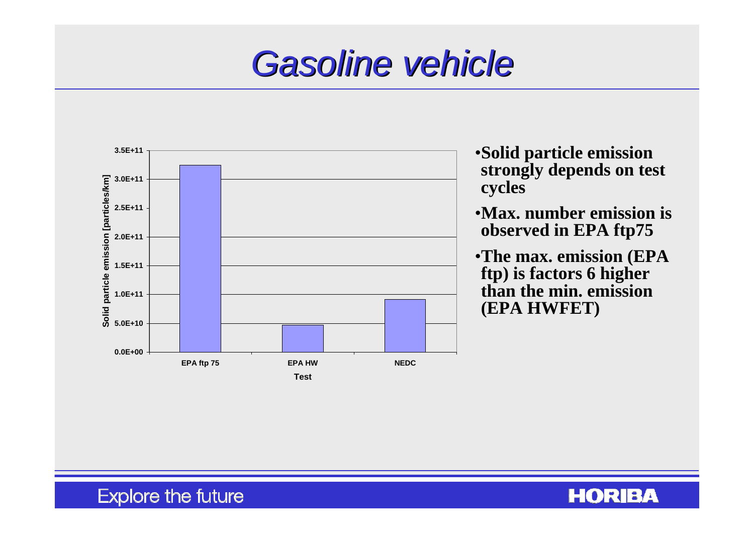### *Gasoline vehicle Gasoline vehicle*



- •**Solid particle emission strongly depends on test cycles**
- •**Max. number emission is observed in EPA ftp75**
- •**The max. emission (EPA ftp) is factors 6 higher than the min. emission (EPA HWFET)**

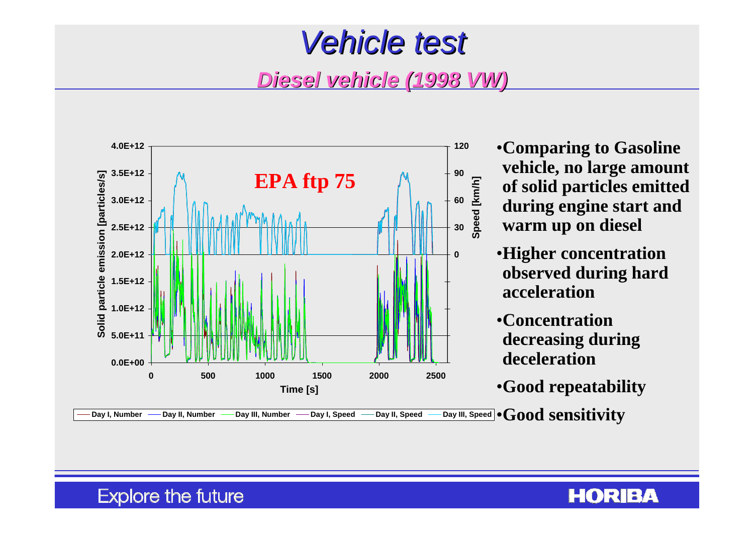### *Vehicle test Vehicle test*

*Diesel vehicle (1998 VW) Diesel vehicle (1998 VW)*



- •**Comparing to Gasoline vehicle, no large amount of solid particles emitted during engine start and warm up on diesel**
- •**Higher concentration observed during hard acceleration**
- •**Concentration decreasing during deceleration**
- •**Good repeatability**

**Day III, Speed • Good sensitivity** 

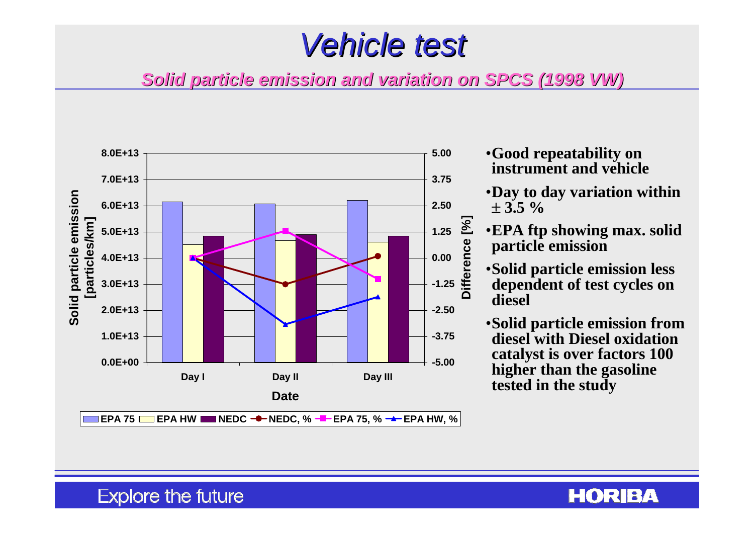### *Vehicle test Vehicle test*

*Solid particle emission and variation on SPCS (1998 VW)* 



- •**Good repeatability on instrument and vehicle**
- •**Day to day variation within**  ± **3.5 %**
- •**EPA ftp showing max. solid particle emission**
- •**Solid particle emission less dependent of test cycles on diesel**
- •**Solid particle emission from diesel with Diesel oxidation catalyst is over factors 100 higher than the gasoline tested in the study**

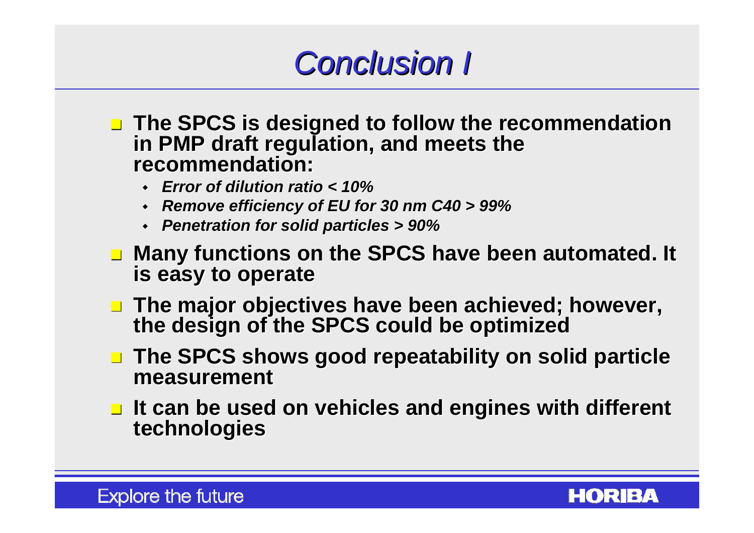### *Conclusion I Conclusion I*

- **recommendation:**
	- ٠ *Error of dilution ratio < 10%*
	- *Remove efficiency of EU for 30 nm C40 > 99%*
	- *Penetration for solid particles > 90% Penetration for solid particles > 90%*
- **Many functions on the SPCS have been automated. It is easy to operate**
- **The major objectives have been achieved; however, The major objectives have been achieved; however, the design of the SPCS could be optimized the design of the SPCS could be optimized**
- The SPCS shows good repeatability on solid particle **measurement measurement**
- **□ It can be used on vehicles and engines with different technologies**

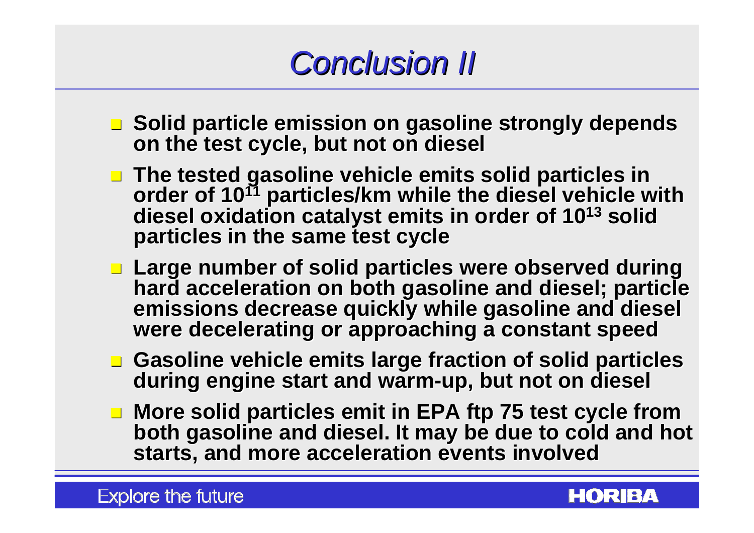### *Conclusion II Conclusion II*

- Solid particle emission on gasoline strongly depends<br>
on the test cycle, but not on diesel
- The tested gasoline vehicle emits solid particles in order of 10<sup>11</sup> particles/km while the diesel vehicle with diesel oxidation catalyst emits in order of 10<sup>13</sup> solid<br>particles in the same test cycle
- Large number of solid particles were observed during hard acceleration on both gasoline and diesel; particle<br>emissions decrease quickly while gasoline and diesel<br>were decelerating or approaching a constant speed
- **□ Gasoline vehicle emits large fraction of solid particles<br>during engine start and warm-up, but not on diesel** during engine start and warm-up, but not on diesel
- $\blacksquare$  More solid particles emit in EPA ftp 75 test cycle from both gasoline and diesel. It may be due to cold and hot<br>starts, and more acceleration events involved

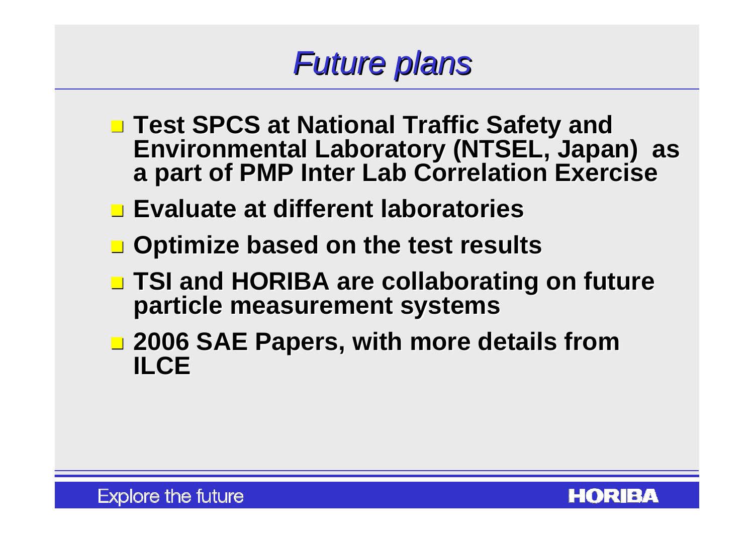### *Future plans Future plans*

- □ Test SPCS at National Traffic Safety and **Environmental Laboratory (NTSEL, Japan) as<br>a part of PMP Inter Lab Correlation Exercise**
- **Evaluate at different laboratories Evaluate at different laboratories**
- Optimize based on the test results
- **<b>□ TSI and HORIBA are collaborating on future particle measurement systems**
- **2006 SAE Papers, with more details from 2006 SAE Papers, with more details from ILCE**